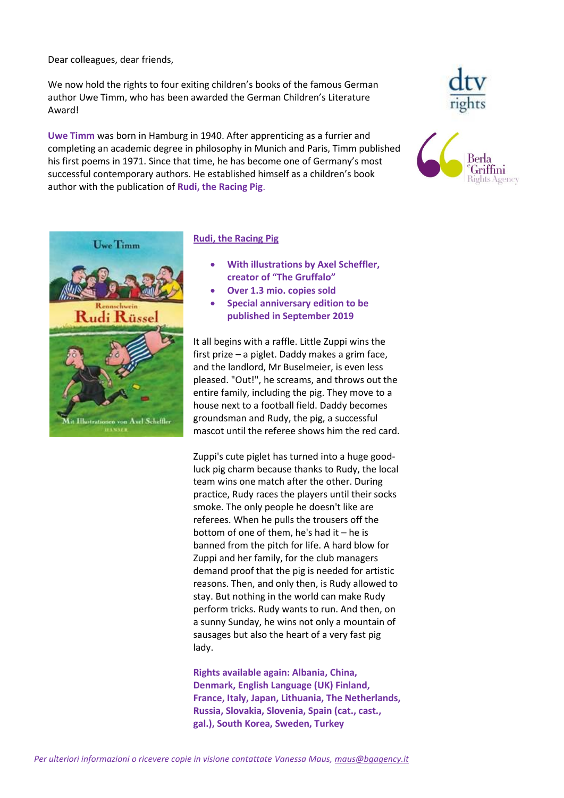Dear colleagues, dear friends,

We now hold the rights to four exiting children's books of the famous German author Uwe Timm, who has been awarded the German Children's Literature Award!

**Uwe Timm** was born in Hamburg in 1940. After apprenticing as a furrier and completing an academic degree in philosophy in Munich and Paris, Timm published his first poems in 1971. Since that time, he has become one of Germany's most successful contemporary authors. He established himself as a children's book author with the publication of **Rudi, the Racing Pig**.







### **Rudi, the Racing Pig**

- **With illustrations by Axel Scheffler, creator of "The Gruffalo"**
- **Over 1.3 mio. copies sold**
- **Special anniversary edition to be published in September 2019**

It all begins with a raffle. Little Zuppi wins the first prize – a piglet. Daddy makes a grim face, and the landlord, Mr Buselmeier, is even less pleased. "Out!", he screams, and throws out the entire family, including the pig. They move to a house next to a football field. Daddy becomes groundsman and Rudy, the pig, a successful mascot until the referee shows him the red card.

Zuppi's cute piglet has turned into a huge goodluck pig charm because thanks to Rudy, the local team wins one match after the other. During practice, Rudy races the players until their socks smoke. The only people he doesn't like are referees. When he pulls the trousers off the bottom of one of them, he's had it – he is banned from the pitch for life. A hard blow for Zuppi and her family, for the club managers demand proof that the pig is needed for artistic reasons. Then, and only then, is Rudy allowed to stay. But nothing in the world can make Rudy perform tricks. Rudy wants to run. And then, on a sunny Sunday, he wins not only a mountain of sausages but also the heart of a very fast pig lady.

**Rights available again: Albania, China, Denmark, English Language (UK) Finland, France, Italy, Japan, Lithuania, The Netherlands, Russia, Slovakia, Slovenia, Spain (cat., cast., gal.), South Korea, Sweden, Turkey**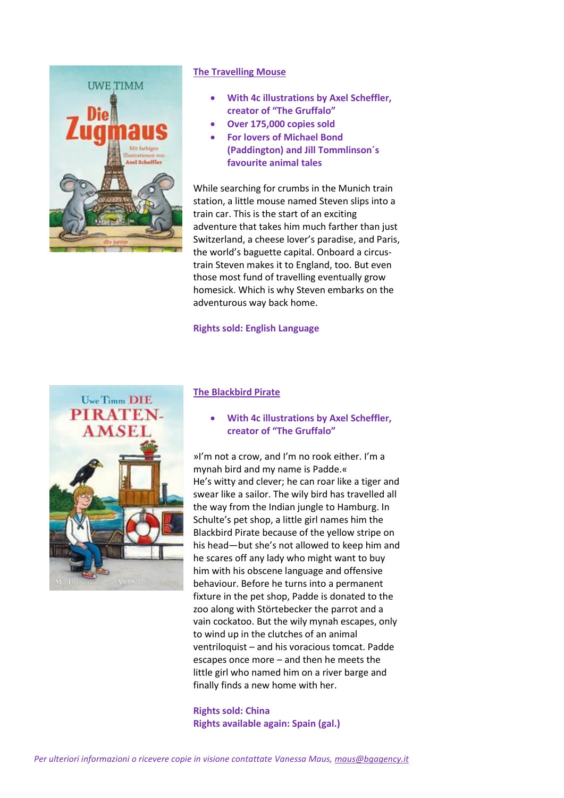

# **The Travelling Mouse**

- **With 4c illustrations by Axel Scheffler, creator of "The Gruffalo"**
- **Over 175,000 copies sold**
- **For lovers of Michael Bond (Paddington) and Jill Tommlinson´s favourite animal tales**

While searching for crumbs in the Munich train station, a little mouse named Steven slips into a train car. This is the start of an exciting adventure that takes him much farther than just Switzerland, a cheese lover's paradise, and Paris, the world's baguette capital. Onboard a circustrain Steven makes it to England, too. But even those most fund of travelling eventually grow homesick. Which is why Steven embarks on the adventurous way back home.

### **Rights sold: English Language**



### **The Blackbird Pirate**

 **With 4c illustrations by Axel Scheffler, creator of "The Gruffalo"**

»I'm not a crow, and I'm no rook either. I'm a mynah bird and my name is Padde.« He's witty and clever; he can roar like a tiger and swear like a sailor. The wily bird has travelled all the way from the Indian jungle to Hamburg. In Schulte's pet shop, a little girl names him the Blackbird Pirate because of the yellow stripe on his head—but she's not allowed to keep him and he scares off any lady who might want to buy him with his obscene language and offensive behaviour. Before he turns into a permanent fixture in the pet shop, Padde is donated to the zoo along with Störtebecker the parrot and a vain cockatoo. But the wily mynah escapes, only to wind up in the clutches of an animal ventriloquist – and his voracious tomcat. Padde escapes once more – and then he meets the little girl who named him on a river barge and finally finds a new home with her.

**Rights sold: China Rights available again: Spain (gal.)**